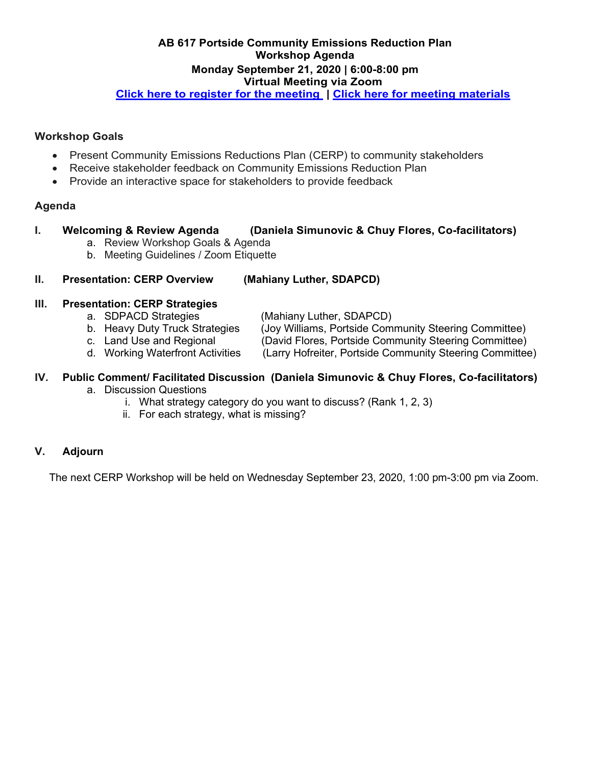#### **AB 617 Portside Community Emissions Reduction Plan Workshop Agenda Monday September 21, 2020 | 6:00-8:00 pm Virtual Meeting via Zoom**

**[Click here to register for the meeting](https://us02web.zoom.us/webinar/register/WN_Wem-fOJYS9yEeraWguSZ1w) | [Click here for meeting materials](https://www.sandiegocounty.gov/content/sdc/apcd/en/community-air-protection-program--ab-617-/portside-cerp.html)**

#### **Workshop Goals**

- Present Community Emissions Reductions Plan (CERP) to community stakeholders
- Receive stakeholder feedback on Community Emissions Reduction Plan
- Provide an interactive space for stakeholders to provide feedback

#### **Agenda**

#### **I. Welcoming & Review Agenda (Daniela Simunovic & Chuy Flores, Co-facilitators)**

- a. Review Workshop Goals & Agenda
- b. Meeting Guidelines / Zoom Etiquette

#### **II. Presentation: CERP Overview (Mahiany Luther, SDAPCD)**

# **III. Presentation: CERP Strategies**

- 
- (Mahiany Luther, SDAPCD)
- b. Heavy Duty Truck Strategies (Joy Williams, Portside Community Steering Committee)
- c. Land Use and Regional (David Flores, Portside Community Steering Committee)
- d. Working Waterfront Activities (Larry Hofreiter, Portside Community Steering Committee)

## **IV. Public Comment/ Facilitated Discussion (Daniela Simunovic & Chuy Flores, Co-facilitators)**

- a. Discussion Questions
	- i. What strategy category do you want to discuss? (Rank 1, 2, 3)
	- ii. For each strategy, what is missing?

### **V. Adjourn**

The next CERP Workshop will be held on Wednesday September 23, 2020, 1:00 pm-3:00 pm via Zoom.